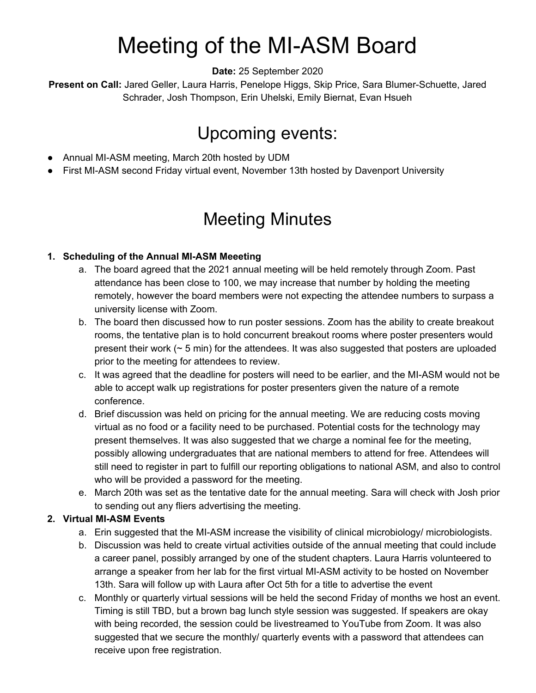# Meeting of the MI-ASM Board

**Date:** 25 September 2020

**Present on Call:** Jared Geller, Laura Harris, Penelope Higgs, Skip Price, Sara Blumer-Schuette, Jared Schrader, Josh Thompson, Erin Uhelski, Emily Biernat, Evan Hsueh

### Upcoming events:

- Annual MI-ASM meeting, March 20th hosted by UDM
- First MI-ASM second Friday virtual event, November 13th hosted by Davenport University

## Meeting Minutes

#### **1. Scheduling of the Annual MI-ASM Meeeting**

- a. The board agreed that the 2021 annual meeting will be held remotely through Zoom. Past attendance has been close to 100, we may increase that number by holding the meeting remotely, however the board members were not expecting the attendee numbers to surpass a university license with Zoom.
- b. The board then discussed how to run poster sessions. Zoom has the ability to create breakout rooms, the tentative plan is to hold concurrent breakout rooms where poster presenters would present their work  $($   $\sim$  5 min) for the attendees. It was also suggested that posters are uploaded prior to the meeting for attendees to review.
- c. It was agreed that the deadline for posters will need to be earlier, and the MI-ASM would not be able to accept walk up registrations for poster presenters given the nature of a remote conference.
- d. Brief discussion was held on pricing for the annual meeting. We are reducing costs moving virtual as no food or a facility need to be purchased. Potential costs for the technology may present themselves. It was also suggested that we charge a nominal fee for the meeting, possibly allowing undergraduates that are national members to attend for free. Attendees will still need to register in part to fulfill our reporting obligations to national ASM, and also to control who will be provided a password for the meeting.
- e. March 20th was set as the tentative date for the annual meeting. Sara will check with Josh prior to sending out any fliers advertising the meeting.

#### **2. Virtual MI-ASM Events**

- a. Erin suggested that the MI-ASM increase the visibility of clinical microbiology/ microbiologists.
- b. Discussion was held to create virtual activities outside of the annual meeting that could include a career panel, possibly arranged by one of the student chapters. Laura Harris volunteered to arrange a speaker from her lab for the first virtual MI-ASM activity to be hosted on November 13th. Sara will follow up with Laura after Oct 5th for a title to advertise the event
- c. Monthly or quarterly virtual sessions will be held the second Friday of months we host an event. Timing is still TBD, but a brown bag lunch style session was suggested. If speakers are okay with being recorded, the session could be livestreamed to YouTube from Zoom. It was also suggested that we secure the monthly/ quarterly events with a password that attendees can receive upon free registration.